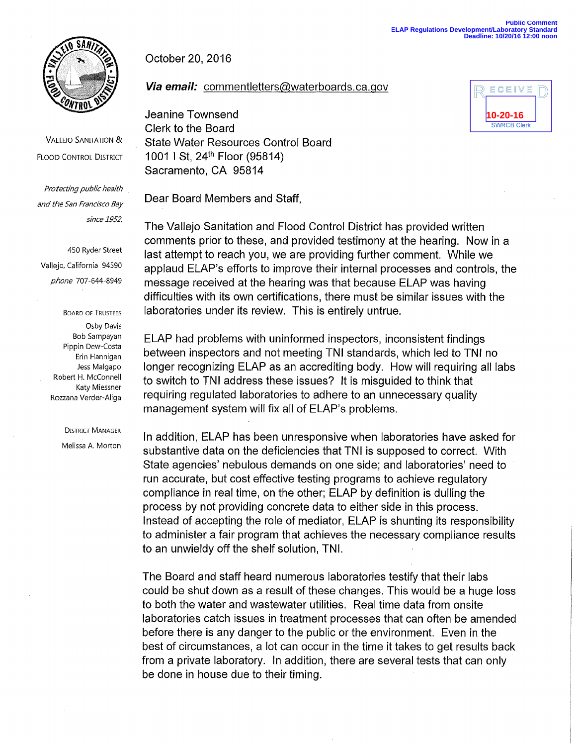

VALLEJO SANITATION & **FLOOD CONTROL DISTRICT** 

Protecting public health and the San Francisco Bay since 1952.

450 Ryder Street Vallejo, California 94590 phone 707-644-8949

> BOARD OF TRUSTEES Osby Davis Bob Sampayan Pippin Dew-Costa Erin Hannigan Jess Malgapo Robert H. McConnell Katy Miessner Rozzana Verder-Aliga

> > DISTRICT MANAGER Melissa A. Morton

October 20, 2016

**Via email:** commentletters@waterboards.ca.gov

Jeanine Townsend Clerk to the Board State Water Resources Control Board 1001 I St, 24<sup>th</sup> Floor (95814) Sacramento, CA 95814

Dear Board Members and Staff,

The Vallejo Sanitation and Flood Control District has provided written comments prior to these, and provided testimony at the hearing. Now in a last attempt to reach you, we are providing further comment. While we applaud ELAP's efforts to improve their internal processes and controls, the message received at the hearing was that because ELAP was having difficulties with its own certifications, there must be similar issues with the laboratories under its review. This is entirely untrue.

ELAP had problems with uninformed inspectors, inconsistent findings between inspectors and not meeting TNI standards, which led to TNI no longer recognizing ELAP as an accrediting body. How will requiring all labs to switch to TNI address these issues? It is misguided to think that requiring regulated laboratories to adhere to an unnecessary quality management system will fix all of ELAP's problems.

In addition, ELAP has been unresponsive when laboratories have asked for substantive data on the deficiencies that TNI is supposed to correct. With State agencies' nebulous demands on one side; and laboratories' need to run accurate, but cost effective testing programs to achieve regulatory compliance in real time, on the other; ELAP by definition is dulling the process by not providing concrete data to either side in this process. Instead of accepting the role of mediator, ELAP is shunting its responsibility to administer a fair program that achieves the necessary compliance results to an unwieldy off the shelf solution, TNI.

The Board and staff heard numerous laboratories testify that their labs could be shut down as a result of these changes. This would be a huge loss to both the water and wastewater utilities. Real time data from onsite laboratories catch issues in treatment processes that can often be amended before there is any danger to the public or the environment. Even in the best of circumstances, a lot can occur in the time it takes to get results back from a private laboratory. In addition, there are several tests that can only be done in house due to their timing.